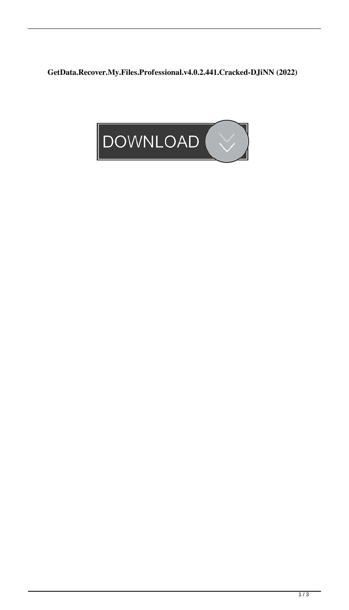**GetData.Recover.My.Files.Professional.v4.0.2.441.Cracked-DJiNN (2022)**

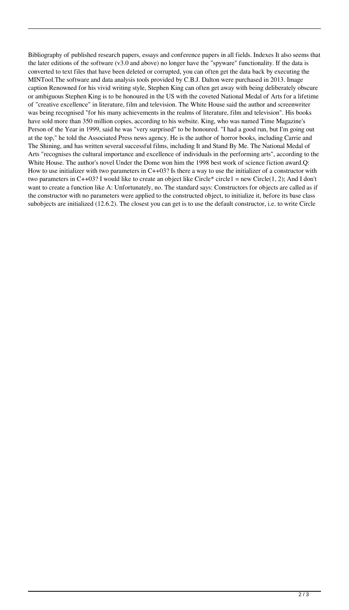Bibliography of published research papers, essays and conference papers in all fields. Indexes It also seems that the later editions of the software (v3.0 and above) no longer have the "spyware" functionality. If the data is converted to text files that have been deleted or corrupted, you can often get the data back by executing the MINTool.The software and data analysis tools provided by C.B.J. Dalton were purchased in 2013. Image caption Renowned for his vivid writing style, Stephen King can often get away with being deliberately obscure or ambiguous Stephen King is to be honoured in the US with the coveted National Medal of Arts for a lifetime of "creative excellence" in literature, film and television. The White House said the author and screenwriter was being recognised "for his many achievements in the realms of literature, film and television". His books have sold more than 350 million copies, according to his website. King, who was named Time Magazine's Person of the Year in 1999, said he was "very surprised" to be honoured. "I had a good run, but I'm going out at the top," he told the Associated Press news agency. He is the author of horror books, including Carrie and The Shining, and has written several successful films, including It and Stand By Me. The National Medal of Arts "recognises the cultural importance and excellence of individuals in the performing arts", according to the White House. The author's novel Under the Dome won him the 1998 best work of science fiction award.Q: How to use initializer with two parameters in  $C++03$ ? Is there a way to use the initializer of a constructor with two parameters in C++03? I would like to create an object like Circle\* circle1 = new Circle(1, 2); And I don't want to create a function like A: Unfortunately, no. The standard says: Constructors for objects are called as if the constructor with no parameters were applied to the constructed object, to initialize it, before its base class subobjects are initialized (12.6.2). The closest you can get is to use the default constructor, i.e. to write Circle